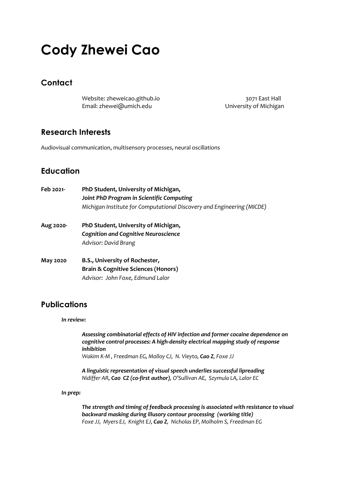# **Cody Zhewei Cao**

### **Contact**

Website: zheweicao.github.io 3071 East Hall Email: zhewei@umich.edu University of Michigan

### **Research Interests**

Audiovisual communication, multisensory processes, neural oscillations

## **Education**

| Feb 2021- | PhD Student, University of Michigan,<br>Joint PhD Program in Scientific Computing<br>Michigan Institute for Computational Discovery and Engineering (MICDE) |
|-----------|-------------------------------------------------------------------------------------------------------------------------------------------------------------|
| Aug 2020- | PhD Student, University of Michigan,<br><b>Cognition and Cognitive Neuroscience</b><br>Advisor: David Brang                                                 |
| May 2020  | B.S., University of Rochester,<br><b>Brain &amp; Cognitive Sciences (Honors)</b><br>Advisor: John Foxe, Edmund Lalor                                        |

### **Publications**

#### *In review:*

*Assessing combinatorial effects of HIV infection and former cocaine dependence on cognitive control processes: A high-density electrical mapping study of response inhibition Wakim K-M , Freedman EG, Molloy CJ, N. Vieyto, Cao Z, Foxe JJ*

*A linguistic representation of visual speech underlies successful lipreading Nidiffer AR, Cao CZ (co-first author), O'Sullivan AE, Szymula LA, Lalor EC*

#### *In prep:*

*The strength and timing of feedback processing is associated with resistance to visual backward masking during illusory contour processing (working title) Foxe JJ, Myers EJ, Knight EJ, Cao Z, Nicholas EP, Molholm S, Freedman EG*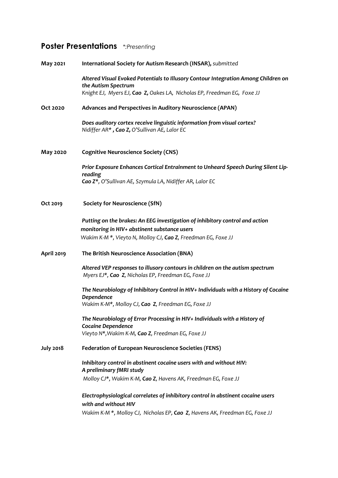## **Poster Presentations** *\*:Presenting*

| May 2021          | International Society for Autism Research (INSAR), submitted                                                                         |
|-------------------|--------------------------------------------------------------------------------------------------------------------------------------|
|                   | Altered Visual Evoked Potentials to Illusory Contour Integration Among Children on<br>the Autism Spectrum                            |
|                   | Knight EJ, Myers EJ, Cao Z, Oakes LA, Nicholas EP, Freedman EG, Foxe JJ                                                              |
| Oct 2020          | Advances and Perspectives in Auditory Neuroscience (APAN)                                                                            |
|                   | Does auditory cortex receive linguistic information from visual cortex?<br>Nidiffer AR*, Cao Z, O'Sullivan AE, Lalor EC              |
| May 2020          | <b>Cognitive Neuroscience Society (CNS)</b>                                                                                          |
|                   | Prior Exposure Enhances Cortical Entrainment to Unheard Speech During Silent Lip-                                                    |
|                   | reading<br>Cao Z*, O'Sullivan AE, Szymula LA, Nidiffer AR, Lalor EC                                                                  |
| Oct 2019          | <b>Society for Neuroscience (SfN)</b>                                                                                                |
|                   | Putting on the brakes: An EEG investigation of inhibitory control and action                                                         |
|                   | monitoring in HIV+ abstinent substance users                                                                                         |
|                   | Wakim K-M *, Vieyto N, Molloy CJ, Cao Z, Freedman EG, Foxe JJ                                                                        |
| <b>April 2019</b> | The British Neuroscience Association (BNA)                                                                                           |
|                   | Altered VEP responses to illusory contours in children on the autism spectrum<br>Myers EJ*, Cao Z, Nicholas EP, Freedman EG, Foxe JJ |
|                   | The Neurobiology of Inhibitory Control in HIV+ Individuals with a History of Cocaine<br>Dependence                                   |
|                   | Wakim K-M*, Molloy CJ, Cao Z, Freedman EG, Foxe JJ                                                                                   |
|                   | The Neurobiology of Error Processing in HIV+ Individuals with a History of<br><b>Cocaine Dependence</b>                              |
|                   | Vieyto N*, Wakim K-M, Cao Z, Freedman EG, Foxe JJ                                                                                    |
| <b>July 2018</b>  | <b>Federation of European Neuroscience Societies (FENS)</b>                                                                          |
|                   | Inhibitory control in abstinent cocaine users with and without HIV:<br>A preliminary fMRI study                                      |
|                   | Molloy CJ*, Wakim K-M, Cao Z, Havens AK, Freedman EG, Foxe JJ                                                                        |
|                   | Electrophysiological correlates of inhibitory control in abstinent cocaine users<br>with and without HIV                             |
|                   | Wakim K-M *, Molloy CJ, Nicholas EP, Cao Z, Havens AK, Freedman EG, Foxe JJ                                                          |